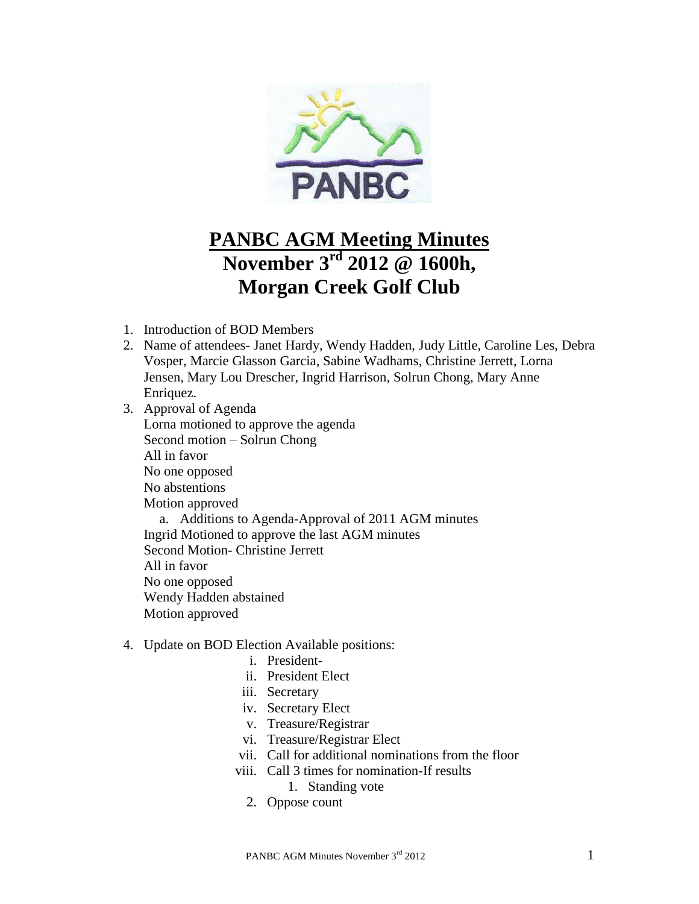

# **PANBC AGM Meeting Minutes November 3rd 2012 @ 1600h, Morgan Creek Golf Club**

- 1. Introduction of BOD Members
- 2. Name of attendees- Janet Hardy, Wendy Hadden, Judy Little, Caroline Les, Debra Vosper, Marcie Glasson Garcia, Sabine Wadhams, Christine Jerrett, Lorna Jensen, Mary Lou Drescher, Ingrid Harrison, Solrun Chong, Mary Anne Enriquez.
- 3. Approval of Agenda Lorna motioned to approve the agenda Second motion – Solrun Chong All in favor No one opposed No abstentions Motion approved a. Additions to Agenda-Approval of 2011 AGM minutes Ingrid Motioned to approve the last AGM minutes Second Motion- Christine Jerrett All in favor No one opposed Wendy Hadden abstained Motion approved
- 4. Update on BOD Election Available positions:
	- i. President-
	- ii. President Elect
	- iii. Secretary
	- iv. Secretary Elect
	- v. Treasure/Registrar
	- vi. Treasure/Registrar Elect
	- vii. Call for additional nominations from the floor
	- viii. Call 3 times for nomination-If results 1. Standing vote
		- 2. Oppose count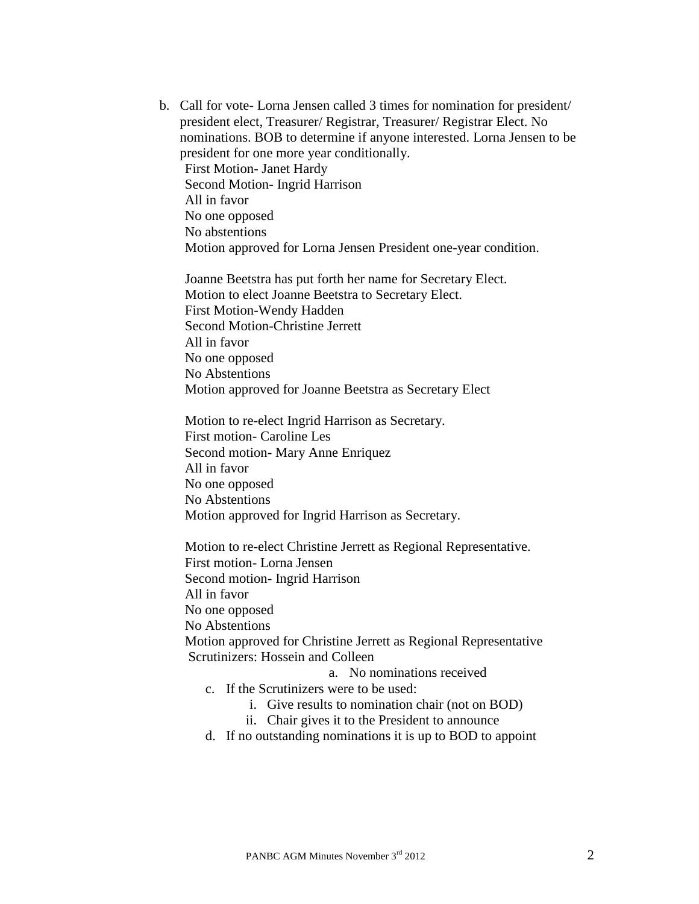b. Call for vote- Lorna Jensen called 3 times for nomination for president/ president elect, Treasurer/ Registrar, Treasurer/ Registrar Elect. No nominations. BOB to determine if anyone interested. Lorna Jensen to be president for one more year conditionally. First Motion- Janet Hardy Second Motion- Ingrid Harrison All in favor No one opposed No abstentions Motion approved for Lorna Jensen President one-year condition.

Joanne Beetstra has put forth her name for Secretary Elect. Motion to elect Joanne Beetstra to Secretary Elect. First Motion-Wendy Hadden Second Motion-Christine Jerrett All in favor No one opposed No Abstentions Motion approved for Joanne Beetstra as Secretary Elect

Motion to re-elect Ingrid Harrison as Secretary. First motion- Caroline Les Second motion- Mary Anne Enriquez All in favor No one opposed No Abstentions Motion approved for Ingrid Harrison as Secretary.

Motion to re-elect Christine Jerrett as Regional Representative. First motion- Lorna Jensen Second motion- Ingrid Harrison All in favor No one opposed No Abstentions Motion approved for Christine Jerrett as Regional Representative Scrutinizers: Hossein and Colleen a. No nominations received

- c. If the Scrutinizers were to be used:
	- i. Give results to nomination chair (not on BOD)
	- ii. Chair gives it to the President to announce
- d. If no outstanding nominations it is up to BOD to appoint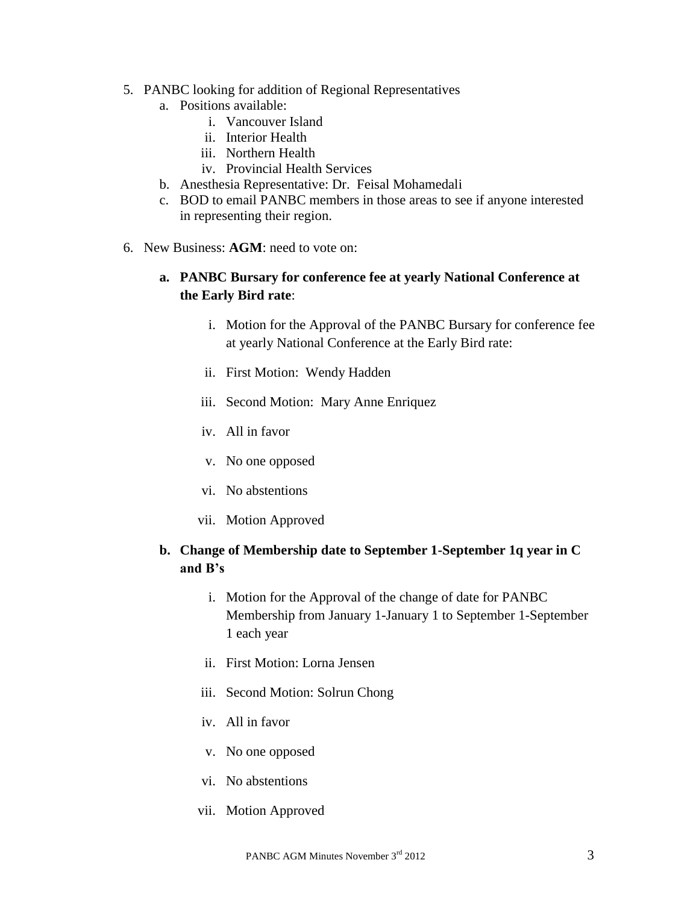- 5. PANBC looking for addition of Regional Representatives
	- a. Positions available:
		- i. Vancouver Island
		- ii. Interior Health
		- iii. Northern Health
		- iv. Provincial Health Services
	- b. Anesthesia Representative: Dr. Feisal Mohamedali
	- c. BOD to email PANBC members in those areas to see if anyone interested in representing their region.
- 6. New Business: **AGM**: need to vote on:

#### **a. PANBC Bursary for conference fee at yearly National Conference at the Early Bird rate**:

- i. Motion for the Approval of the PANBC Bursary for conference fee at yearly National Conference at the Early Bird rate:
- ii. First Motion: Wendy Hadden
- iii. Second Motion: Mary Anne Enriquez
- iv. All in favor
- v. No one opposed
- vi. No abstentions
- vii. Motion Approved

## **b. Change of Membership date to September 1-September 1q year in C and B's**

- i. Motion for the Approval of the change of date for PANBC Membership from January 1-January 1 to September 1-September 1 each year
- ii. First Motion: Lorna Jensen
- iii. Second Motion: Solrun Chong
- iv. All in favor
- v. No one opposed
- vi. No abstentions
- vii. Motion Approved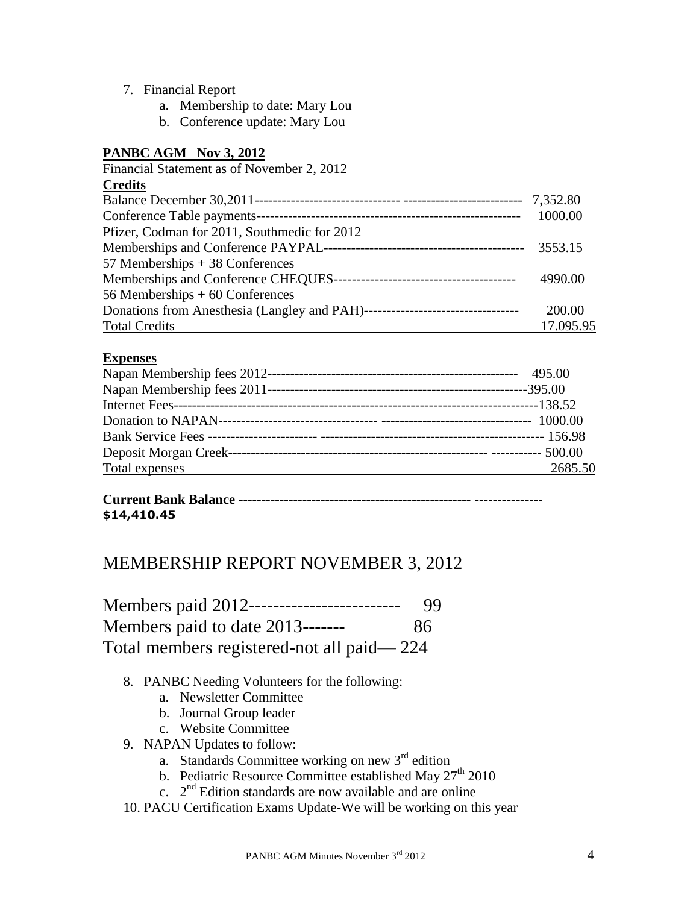- 7. Financial Report
	- a. Membership to date: Mary Lou
	- b. Conference update: Mary Lou

## **PANBC AGM Nov 3, 2012**

| Financial Statement as of November 2, 2012   |           |
|----------------------------------------------|-----------|
| <b>Credits</b>                               |           |
|                                              |           |
| Conference Table payments-                   | 1000.00   |
| Pfizer, Codman for 2011, Southmedic for 2012 |           |
|                                              | 3553.15   |
| 57 Memberships $+38$ Conferences             |           |
|                                              | 4990.00   |
| 56 Memberships $+60$ Conferences             |           |
|                                              | 200.00    |
| <b>Total Credits</b>                         | 17.095.95 |

#### **Expenses**

| Total expenses<br>2685.50 |  |
|---------------------------|--|

## **Current Bank Balance --------------------------------------------------- --------------- \$14,410.45**

# MEMBERSHIP REPORT NOVEMBER 3, 2012

| Members paid 2012------------------------- | 99 |
|--------------------------------------------|----|
| Members paid to date 2013-------           | 86 |
| Total members registered-not all paid—224  |    |

- 8. PANBC Needing Volunteers for the following:
	- a. Newsletter Committee
	- b. Journal Group leader
	- c. Website Committee
- 9. NAPAN Updates to follow:
	- a. Standards Committee working on new  $3<sup>rd</sup>$  edition
	- b. Pediatric Resource Committee established May  $27<sup>th</sup> 2010$
	- c.  $2<sup>nd</sup>$  Edition standards are now available and are online
- 10. PACU Certification Exams Update-We will be working on this year